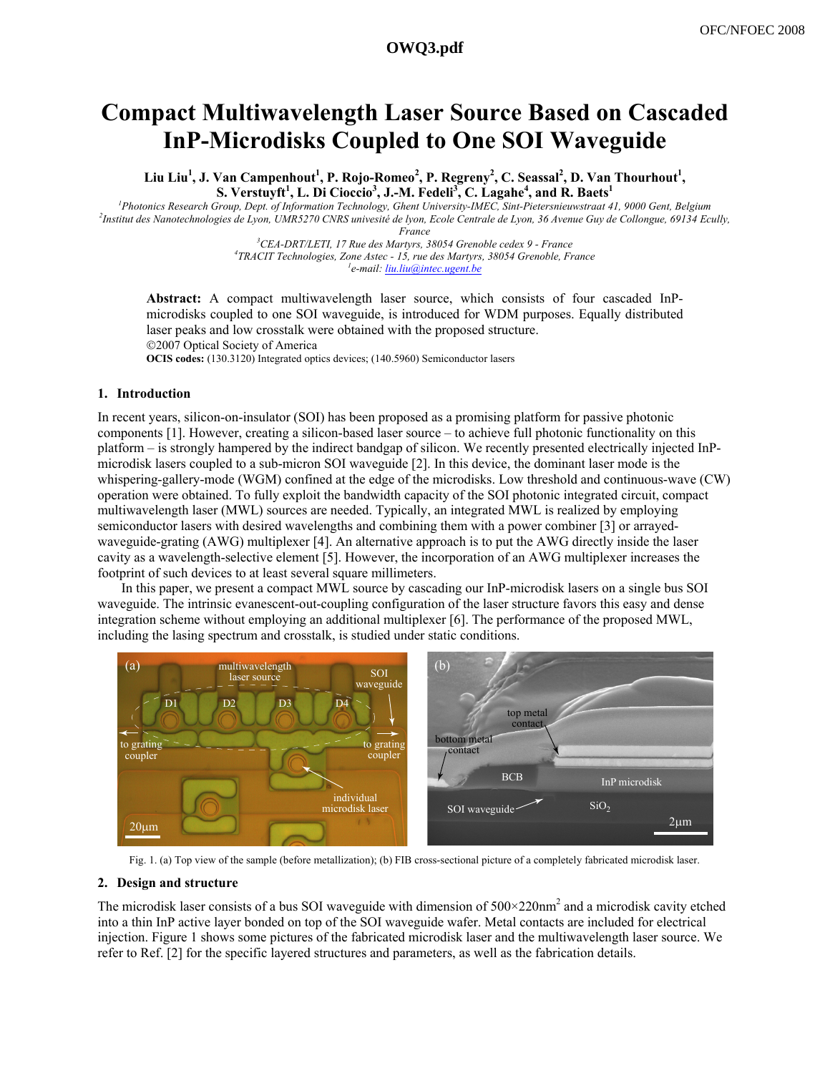# **Compact Multiwavelength Laser Source Based on Cascaded InP-Microdisks Coupled to One SOI Waveguide**

Liu Liu<sup>1</sup>, J. Van Campenhout<sup>1</sup>, P. Rojo-Romeo<sup>2</sup>, P. Regreny<sup>2</sup>, C. Seassal<sup>2</sup>, D. Van Thourhout<sup>1</sup>, **S. Verstuyft<sup>1</sup> , L. Di Cioccio<sup>3</sup> , J.-M. Fedeli3 , C. Lagahe4 , and R. Baets<sup>1</sup>**

<sup>1</sup> Photonics Research Group, Dept. of Information Technology, Ghent University-IMEC, Sint-Pietersnieuwstraat 41, 9000 Gent, Belgium <sup>2</sup>Instituted as Nanotashnologies de Lyon, *LIMP5270 CNPS* university de by Reale Central *Institut des Nanotechnologies de Lyon, UMR5270 CNRS univesité de lyon, Ecole Centrale de Lyon, 36 Avenue Guy de Collongue, 69134 Ecully, France*<br><sup>3</sup>CEA DPT/LETI 17 Pue des Manturs, 3

*CEA-DRT/LETI, 17 Rue des Martyrs, 38054 Grenoble cedex 9 - France 4 TRACIT Technologies, Zone Astec - 15, rue des Martyrs, 38054 Grenoble, France 1 e-mail: liu.liu@intec.ugent.be*

**Abstract:** A compact multiwavelength laser source, which consists of four cascaded InPmicrodisks coupled to one SOI waveguide, is introduced for WDM purposes. Equally distributed laser peaks and low crosstalk were obtained with the proposed structure. ©2007 Optical Society of America

**OCIS codes:** (130.3120) Integrated optics devices; (140.5960) Semiconductor lasers

## **1. Introduction**

In recent years, silicon-on-insulator (SOI) has been proposed as a promising platform for passive photonic components [1]. However, creating a silicon-based laser source – to achieve full photonic functionality on this platform – is strongly hampered by the indirect bandgap of silicon. We recently presented electrically injected InPmicrodisk lasers coupled to a sub-micron SOI waveguide [2]. In this device, the dominant laser mode is the whispering-gallery-mode (WGM) confined at the edge of the microdisks. Low threshold and continuous-wave (CW) operation were obtained. To fully exploit the bandwidth capacity of the SOI photonic integrated circuit, compact multiwavelength laser (MWL) sources are needed. Typically, an integrated MWL is realized by employing semiconductor lasers with desired wavelengths and combining them with a power combiner [3] or arrayedwaveguide-grating (AWG) multiplexer [4]. An alternative approach is to put the AWG directly inside the laser cavity as a wavelength-selective element [5]. However, the incorporation of an AWG multiplexer increases the footprint of such devices to at least several square millimeters.

In this paper, we present a compact MWL source by cascading our InP-microdisk lasers on a single bus SOI waveguide. The intrinsic evanescent-out-coupling configuration of the laser structure favors this easy and dense integration scheme without employing an additional multiplexer [6]. The performance of the proposed MWL, including the lasing spectrum and crosstalk, is studied under static conditions.



Fig. 1. (a) Top view of the sample (before metallization); (b) FIB cross-sectional picture of a completely fabricated microdisk laser.

#### **2. Design and structure**

The microdisk laser consists of a bus SOI waveguide with dimension of  $500 \times 220$ nm<sup>2</sup> and a microdisk cavity etched into a thin InP active layer bonded on top of the SOI waveguide wafer. Metal contacts are included for electrical injection. Figure 1 shows some pictures of the fabricated microdisk laser and the multiwavelength laser source. We refer to Ref. [2] for the specific layered structures and parameters, as well as the fabrication details.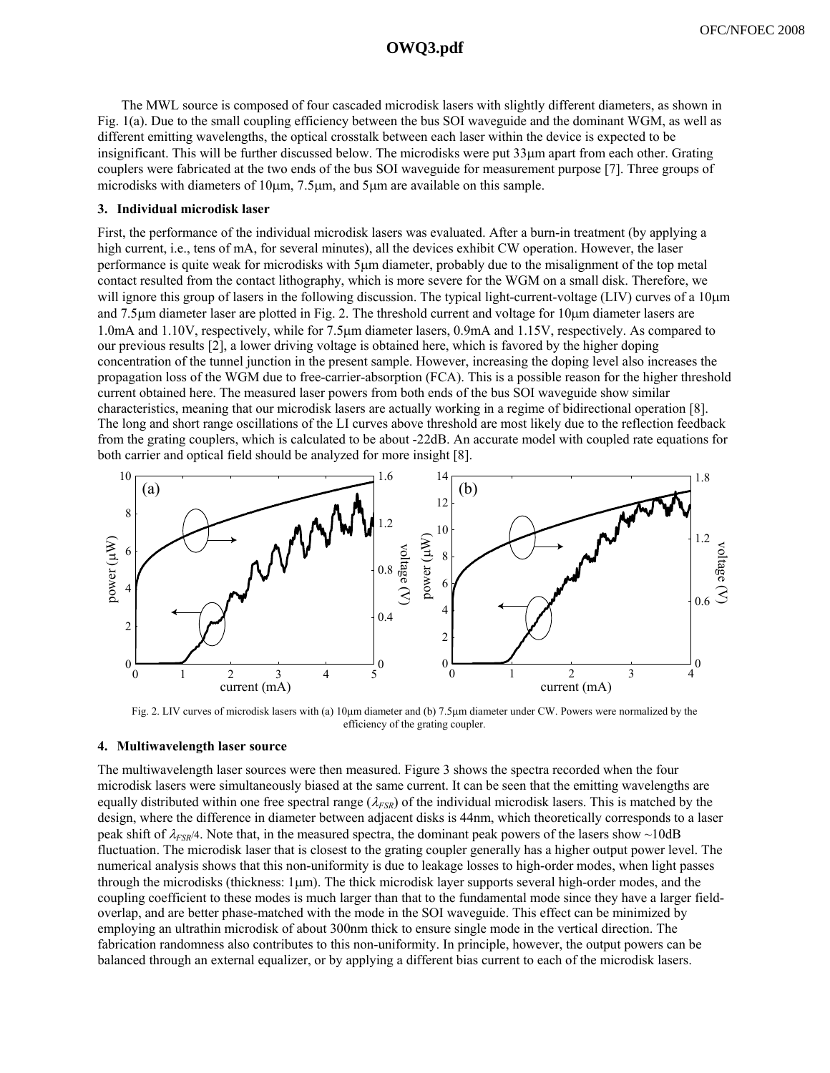## **a1351\_1.pdf OWQ3.pdf**

The MWL source is composed of four cascaded microdisk lasers with slightly different diameters, as shown in Fig. 1(a). Due to the small coupling efficiency between the bus SOI waveguide and the dominant WGM, as well as different emitting wavelengths, the optical crosstalk between each laser within the device is expected to be insignificant. This will be further discussed below. The microdisks were put 33μm apart from each other. Grating couplers were fabricated at the two ends of the bus SOI waveguide for measurement purpose [7]. Three groups of microdisks with diameters of 10μm, 7.5μm, and 5μm are available on this sample.

## **3. Individual microdisk laser**

First, the performance of the individual microdisk lasers was evaluated. After a burn-in treatment (by applying a high current, i.e., tens of mA, for several minutes), all the devices exhibit CW operation. However, the laser performance is quite weak for microdisks with 5μm diameter, probably due to the misalignment of the top metal contact resulted from the contact lithography, which is more severe for the WGM on a small disk. Therefore, we will ignore this group of lasers in the following discussion. The typical light-current-voltage (LIV) curves of a 10μm and 7.5μm diameter laser are plotted in Fig. 2. The threshold current and voltage for 10μm diameter lasers are 1.0mA and 1.10V, respectively, while for 7.5μm diameter lasers, 0.9mA and 1.15V, respectively. As compared to our previous results [2], a lower driving voltage is obtained here, which is favored by the higher doping concentration of the tunnel junction in the present sample. However, increasing the doping level also increases the propagation loss of the WGM due to free-carrier-absorption (FCA). This is a possible reason for the higher threshold current obtained here. The measured laser powers from both ends of the bus SOI waveguide show similar characteristics, meaning that our microdisk lasers are actually working in a regime of bidirectional operation [8]. The long and short range oscillations of the LI curves above threshold are most likely due to the reflection feedback from the grating couplers, which is calculated to be about -22dB. An accurate model with coupled rate equations for both carrier and optical field should be analyzed for more insight [8].



Fig. 2. LIV curves of microdisk lasers with (a) 10μm diameter and (b) 7.5μm diameter under CW. Powers were normalized by the efficiency of the grating coupler.

#### **4. Multiwavelength laser source**

The multiwavelength laser sources were then measured. Figure 3 shows the spectra recorded when the four microdisk lasers were simultaneously biased at the same current. It can be seen that the emitting wavelengths are equally distributed within one free spectral range ( $\lambda_{FSR}$ ) of the individual microdisk lasers. This is matched by the design, where the difference in diameter between adjacent disks is 44nm, which theoretically corresponds to a laser peak shift of λ*FSR*/4. Note that, in the measured spectra, the dominant peak powers of the lasers show ~10dB fluctuation. The microdisk laser that is closest to the grating coupler generally has a higher output power level. The numerical analysis shows that this non-uniformity is due to leakage losses to high-order modes, when light passes through the microdisks (thickness: 1μm). The thick microdisk layer supports several high-order modes, and the coupling coefficient to these modes is much larger than that to the fundamental mode since they have a larger fieldoverlap, and are better phase-matched with the mode in the SOI waveguide. This effect can be minimized by employing an ultrathin microdisk of about 300nm thick to ensure single mode in the vertical direction. The fabrication randomness also contributes to this non-uniformity. In principle, however, the output powers can be balanced through an external equalizer, or by applying a different bias current to each of the microdisk lasers.